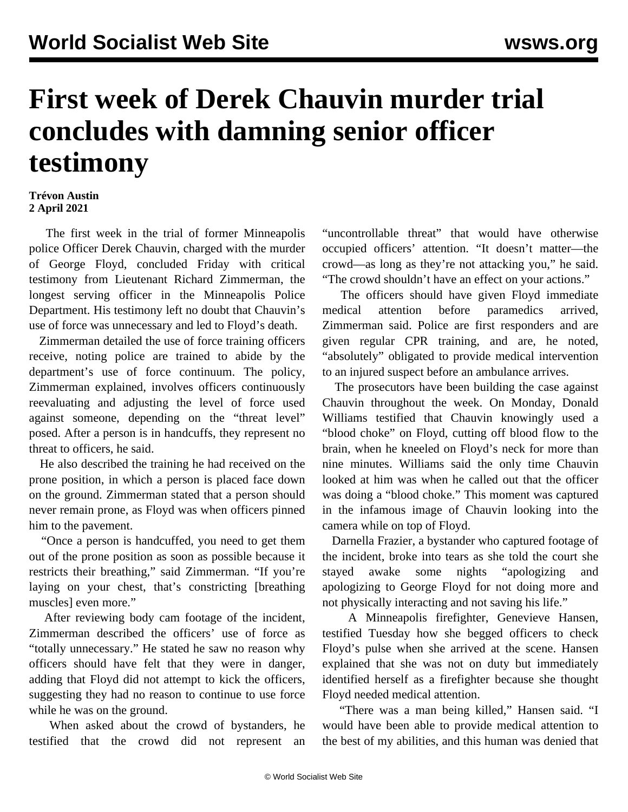## **First week of Derek Chauvin murder trial concludes with damning senior officer testimony**

## **Trévon Austin 2 April 2021**

 The first week in the trial of former Minneapolis police Officer Derek Chauvin, charged with the murder of George Floyd, concluded Friday with critical testimony from Lieutenant Richard Zimmerman, the longest serving officer in the Minneapolis Police Department. His testimony left no doubt that Chauvin's use of force was unnecessary and led to Floyd's death.

 Zimmerman detailed the use of force training officers receive, noting police are trained to abide by the department's use of force continuum. The policy, Zimmerman explained, involves officers continuously reevaluating and adjusting the level of force used against someone, depending on the "threat level" posed. After a person is in handcuffs, they represent no threat to officers, he said.

 He also described the training he had received on the prone position, in which a person is placed face down on the ground. Zimmerman stated that a person should never remain prone, as Floyd was when officers pinned him to the pavement.

 "Once a person is handcuffed, you need to get them out of the prone position as soon as possible because it restricts their breathing," said Zimmerman. "If you're laying on your chest, that's constricting [breathing muscles] even more."

 After reviewing body cam footage of the incident, Zimmerman described the officers' use of force as "totally unnecessary." He stated he saw no reason why officers should have felt that they were in danger, adding that Floyd did not attempt to kick the officers, suggesting they had no reason to continue to use force while he was on the ground.

 When asked about the crowd of bystanders, he testified that the crowd did not represent an "uncontrollable threat" that would have otherwise occupied officers' attention. "It doesn't matter—the crowd—as long as they're not attacking you," he said. "The crowd shouldn't have an effect on your actions."

 The officers should have given Floyd immediate medical attention before paramedics arrived, Zimmerman said. Police are first responders and are given regular CPR training, and are, he noted, "absolutely" obligated to provide medical intervention to an injured suspect before an ambulance arrives.

 The prosecutors have been building the case against Chauvin throughout the week. On Monday, Donald Williams testified that Chauvin knowingly used a "blood choke" on Floyd, cutting off blood flow to the brain, when he kneeled on Floyd's neck for more than nine minutes. Williams said the only time Chauvin looked at him was when he called out that the officer was doing a "blood choke." This moment was captured in the infamous image of Chauvin looking into the camera while on top of Floyd.

 Darnella Frazier, a bystander who captured footage of the incident, broke into tears as she told the court she stayed awake some nights "apologizing and apologizing to George Floyd for not doing more and not physically interacting and not saving his life."

 A Minneapolis firefighter, Genevieve Hansen, testified Tuesday how she begged officers to check Floyd's pulse when she arrived at the scene. Hansen explained that she was not on duty but immediately identified herself as a firefighter because she thought Floyd needed medical attention.

 "There was a man being killed," Hansen said. "I would have been able to provide medical attention to the best of my abilities, and this human was denied that